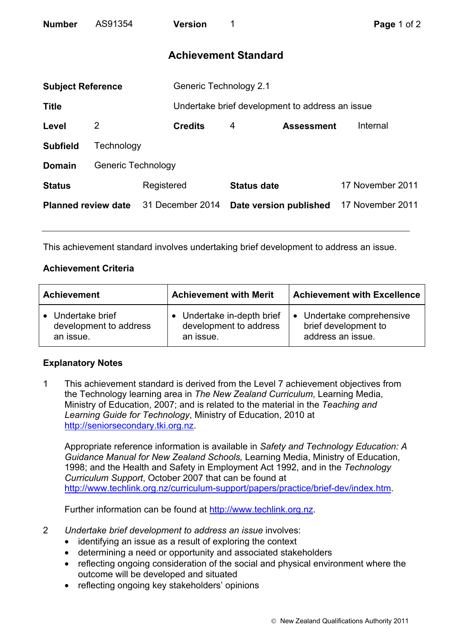| <b>Number</b>              | AS91354            |            | Version                | 1                           |                                                 | Page 1 of 2      |  |
|----------------------------|--------------------|------------|------------------------|-----------------------------|-------------------------------------------------|------------------|--|
|                            |                    |            |                        | <b>Achievement Standard</b> |                                                 |                  |  |
| <b>Subject Reference</b>   |                    |            | Generic Technology 2.1 |                             |                                                 |                  |  |
| <b>Title</b>               |                    |            |                        |                             | Undertake brief development to address an issue |                  |  |
| Level                      | $\overline{2}$     |            | <b>Credits</b>         | 4                           | <b>Assessment</b>                               | Internal         |  |
| <b>Subfield</b>            | Technology         |            |                        |                             |                                                 |                  |  |
| <b>Domain</b>              | Generic Technology |            |                        |                             |                                                 |                  |  |
| <b>Status</b>              |                    | Registered |                        | <b>Status date</b>          |                                                 | 17 November 2011 |  |
| <b>Planned review date</b> |                    |            | 31 December 2014       | Date version published      |                                                 | 17 November 2011 |  |

This achievement standard involves undertaking brief development to address an issue.

## **Achievement Criteria**

| <b>Achievement</b>     | <b>Achievement with Merit</b> | <b>Achievement with Excellence</b> |  |
|------------------------|-------------------------------|------------------------------------|--|
| • Undertake brief      | • Undertake in-depth brief    | • Undertake comprehensive          |  |
| development to address | development to address        | brief development to               |  |
| an issue.              | an issue.                     | address an issue.                  |  |

## **Explanatory Notes**

1 This achievement standard is derived from the Level 7 achievement objectives from the Technology learning area in *The New Zealand Curriculum*, Learning Media, Ministry of Education, 2007; and is related to the material in the *Teaching and Learning Guide for Technology*, Ministry of Education, 2010 at http://seniorsecondary.tki.org.nz.

Appropriate reference information is available in *Safety and Technology Education: A Guidance Manual for New Zealand Schools,* Learning Media, Ministry of Education, 1998; and the Health and Safety in Employment Act 1992, and in the *Technology Curriculum Support*, October 2007 that can be found at http://www.techlink.org.nz/curriculum-support/papers/practice/brief-dev/index.htm.

Further information can be found at http://www.techlink.org.nz.

- 2 *Undertake brief development to address an issue* involves:
	- identifying an issue as a result of exploring the context
	- determining a need or opportunity and associated stakeholders
	- reflecting ongoing consideration of the social and physical environment where the outcome will be developed and situated
	- reflecting ongoing key stakeholders' opinions